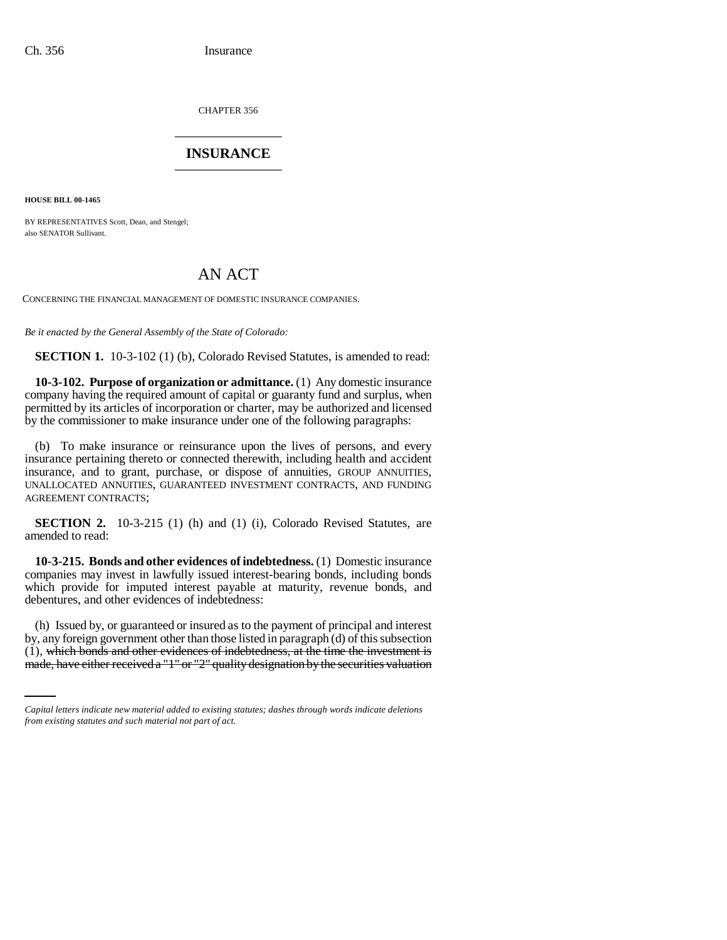CHAPTER 356 \_\_\_\_\_\_\_\_\_\_\_\_\_\_\_

## **INSURANCE** \_\_\_\_\_\_\_\_\_\_\_\_\_\_\_

**HOUSE BILL 00-1465**

BY REPRESENTATIVES Scott, Dean, and Stengel; also SENATOR Sullivant.

## AN ACT

CONCERNING THE FINANCIAL MANAGEMENT OF DOMESTIC INSURANCE COMPANIES.

*Be it enacted by the General Assembly of the State of Colorado:*

**SECTION 1.** 10-3-102 (1) (b), Colorado Revised Statutes, is amended to read:

**10-3-102. Purpose of organization or admittance.** (1) Any domestic insurance company having the required amount of capital or guaranty fund and surplus, when permitted by its articles of incorporation or charter, may be authorized and licensed by the commissioner to make insurance under one of the following paragraphs:

(b) To make insurance or reinsurance upon the lives of persons, and every insurance pertaining thereto or connected therewith, including health and accident insurance, and to grant, purchase, or dispose of annuities, GROUP ANNUITIES, UNALLOCATED ANNUITIES, GUARANTEED INVESTMENT CONTRACTS, AND FUNDING AGREEMENT CONTRACTS;

**SECTION 2.** 10-3-215 (1) (h) and (1) (i), Colorado Revised Statutes, are amended to read:

**10-3-215. Bonds and other evidences of indebtedness.** (1) Domestic insurance companies may invest in lawfully issued interest-bearing bonds, including bonds which provide for imputed interest payable at maturity, revenue bonds, and debentures, and other evidences of indebtedness:

by, any foreign government other than those listed in paragraph (d) of this subsection by, any foreign government other than those listed in paragraph (d) of this subsection (h) Issued by, or guaranteed or insured as to the payment of principal and interest (1), which bonds and other evidences of indebtedness, at the time the investment is made, have either received a "1" or "2" quality designation by the securities valuation

*Capital letters indicate new material added to existing statutes; dashes through words indicate deletions from existing statutes and such material not part of act.*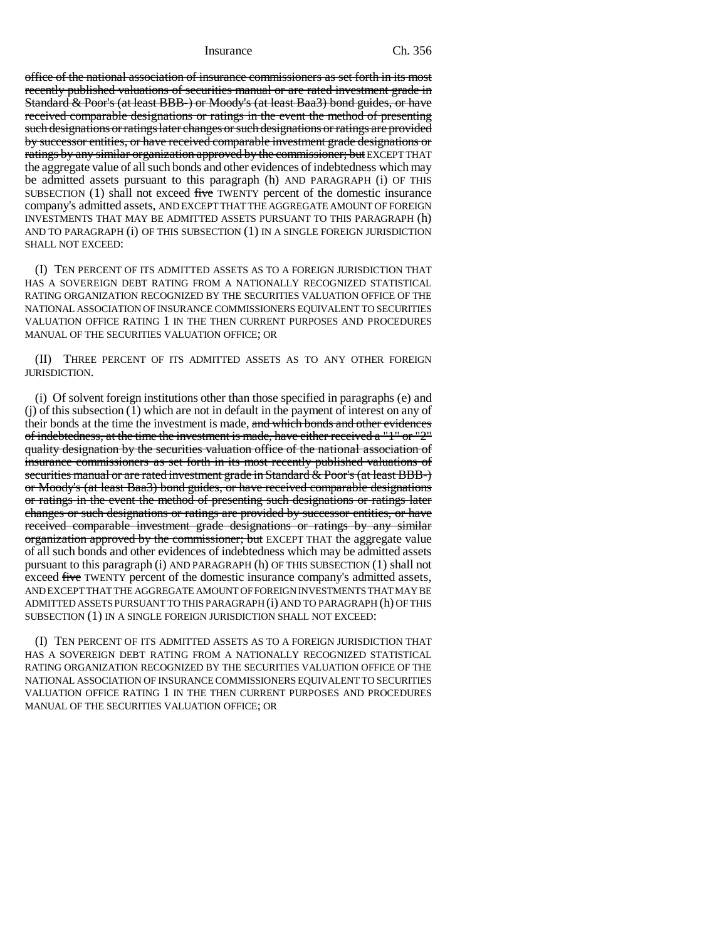Insurance Ch. 356

office of the national association of insurance commissioners as set forth in its most recently published valuations of securities manual or are rated investment grade in Standard & Poor's (at least BBB-) or Moody's (at least Baa3) bond guides, or have received comparable designations or ratings in the event the method of presenting such designations or ratings later changes or such designations or ratings are provided by successor entities, or have received comparable investment grade designations or ratings by any similar organization approved by the commissioner; but EXCEPT THAT the aggregate value of all such bonds and other evidences of indebtedness which may be admitted assets pursuant to this paragraph (h) AND PARAGRAPH (i) OF THIS SUBSECTION  $(1)$  shall not exceed five TWENTY percent of the domestic insurance company's admitted assets, AND EXCEPT THAT THE AGGREGATE AMOUNT OF FOREIGN INVESTMENTS THAT MAY BE ADMITTED ASSETS PURSUANT TO THIS PARAGRAPH (h) AND TO PARAGRAPH (i) OF THIS SUBSECTION (1) IN A SINGLE FOREIGN JURISDICTION SHALL NOT EXCEED:

(I) TEN PERCENT OF ITS ADMITTED ASSETS AS TO A FOREIGN JURISDICTION THAT HAS A SOVEREIGN DEBT RATING FROM A NATIONALLY RECOGNIZED STATISTICAL RATING ORGANIZATION RECOGNIZED BY THE SECURITIES VALUATION OFFICE OF THE NATIONAL ASSOCIATION OF INSURANCE COMMISSIONERS EQUIVALENT TO SECURITIES VALUATION OFFICE RATING 1 IN THE THEN CURRENT PURPOSES AND PROCEDURES MANUAL OF THE SECURITIES VALUATION OFFICE; OR

(II) THREE PERCENT OF ITS ADMITTED ASSETS AS TO ANY OTHER FOREIGN JURISDICTION.

(i) Of solvent foreign institutions other than those specified in paragraphs (e) and (j) of this subsection (1) which are not in default in the payment of interest on any of their bonds at the time the investment is made, and which bonds and other evidences of indebtedness, at the time the investment is made, have either received a "1" or "2" quality designation by the securities valuation office of the national association of insurance commissioners as set forth in its most recently published valuations of securities manual or are rated investment grade in Standard & Poor's (at least BBB-) or Moody's (at least Baa3) bond guides, or have received comparable designations or ratings in the event the method of presenting such designations or ratings later changes or such designations or ratings are provided by successor entities, or have received comparable investment grade designations or ratings by any similar organization approved by the commissioner; but EXCEPT THAT the aggregate value of all such bonds and other evidences of indebtedness which may be admitted assets pursuant to this paragraph (i) AND PARAGRAPH (h) OF THIS SUBSECTION (1) shall not exceed five TWENTY percent of the domestic insurance company's admitted assets, AND EXCEPT THAT THE AGGREGATE AMOUNT OF FOREIGN INVESTMENTS THAT MAY BE ADMITTED ASSETS PURSUANT TO THIS PARAGRAPH (i) AND TO PARAGRAPH (h) OF THIS SUBSECTION (1) IN A SINGLE FOREIGN JURISDICTION SHALL NOT EXCEED:

(I) TEN PERCENT OF ITS ADMITTED ASSETS AS TO A FOREIGN JURISDICTION THAT HAS A SOVEREIGN DEBT RATING FROM A NATIONALLY RECOGNIZED STATISTICAL RATING ORGANIZATION RECOGNIZED BY THE SECURITIES VALUATION OFFICE OF THE NATIONAL ASSOCIATION OF INSURANCE COMMISSIONERS EQUIVALENT TO SECURITIES VALUATION OFFICE RATING 1 IN THE THEN CURRENT PURPOSES AND PROCEDURES MANUAL OF THE SECURITIES VALUATION OFFICE; OR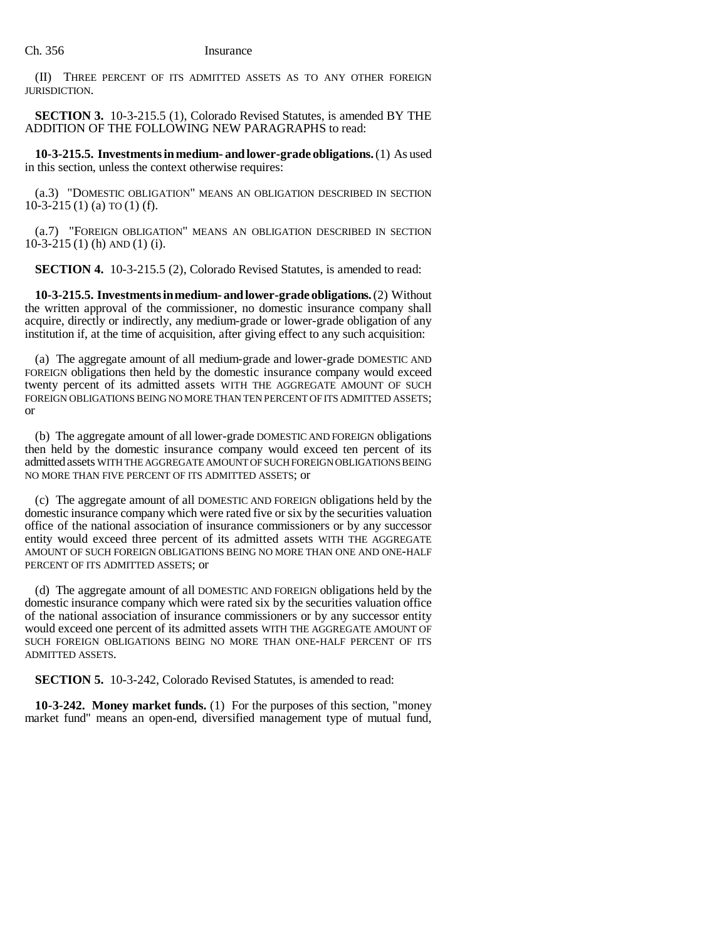(II) THREE PERCENT OF ITS ADMITTED ASSETS AS TO ANY OTHER FOREIGN JURISDICTION.

**SECTION 3.** 10-3-215.5 (1), Colorado Revised Statutes, is amended BY THE ADDITION OF THE FOLLOWING NEW PARAGRAPHS to read:

**10-3-215.5. Investments in medium- and lower-grade obligations.** (1) As used in this section, unless the context otherwise requires:

(a.3) "DOMESTIC OBLIGATION" MEANS AN OBLIGATION DESCRIBED IN SECTION  $10-3-215$  (1) (a) TO (1) (f).

(a.7) "FOREIGN OBLIGATION" MEANS AN OBLIGATION DESCRIBED IN SECTION 10-3-215 (1) (h) AND (1) (i).

**SECTION 4.** 10-3-215.5 (2), Colorado Revised Statutes, is amended to read:

**10-3-215.5. Investments in medium- and lower-grade obligations.** (2) Without the written approval of the commissioner, no domestic insurance company shall acquire, directly or indirectly, any medium-grade or lower-grade obligation of any institution if, at the time of acquisition, after giving effect to any such acquisition:

(a) The aggregate amount of all medium-grade and lower-grade DOMESTIC AND FOREIGN obligations then held by the domestic insurance company would exceed twenty percent of its admitted assets WITH THE AGGREGATE AMOUNT OF SUCH FOREIGN OBLIGATIONS BEING NO MORE THAN TEN PERCENT OF ITS ADMITTED ASSETS; or

(b) The aggregate amount of all lower-grade DOMESTIC AND FOREIGN obligations then held by the domestic insurance company would exceed ten percent of its admitted assets WITH THE AGGREGATE AMOUNT OF SUCH FOREIGN OBLIGATIONS BEING NO MORE THAN FIVE PERCENT OF ITS ADMITTED ASSETS; or

(c) The aggregate amount of all DOMESTIC AND FOREIGN obligations held by the domestic insurance company which were rated five or six by the securities valuation office of the national association of insurance commissioners or by any successor entity would exceed three percent of its admitted assets WITH THE AGGREGATE AMOUNT OF SUCH FOREIGN OBLIGATIONS BEING NO MORE THAN ONE AND ONE-HALF PERCENT OF ITS ADMITTED ASSETS; or

(d) The aggregate amount of all DOMESTIC AND FOREIGN obligations held by the domestic insurance company which were rated six by the securities valuation office of the national association of insurance commissioners or by any successor entity would exceed one percent of its admitted assets WITH THE AGGREGATE AMOUNT OF SUCH FOREIGN OBLIGATIONS BEING NO MORE THAN ONE-HALF PERCENT OF ITS ADMITTED ASSETS.

**SECTION 5.** 10-3-242, Colorado Revised Statutes, is amended to read:

**10-3-242. Money market funds.** (1) For the purposes of this section, "money market fund" means an open-end, diversified management type of mutual fund,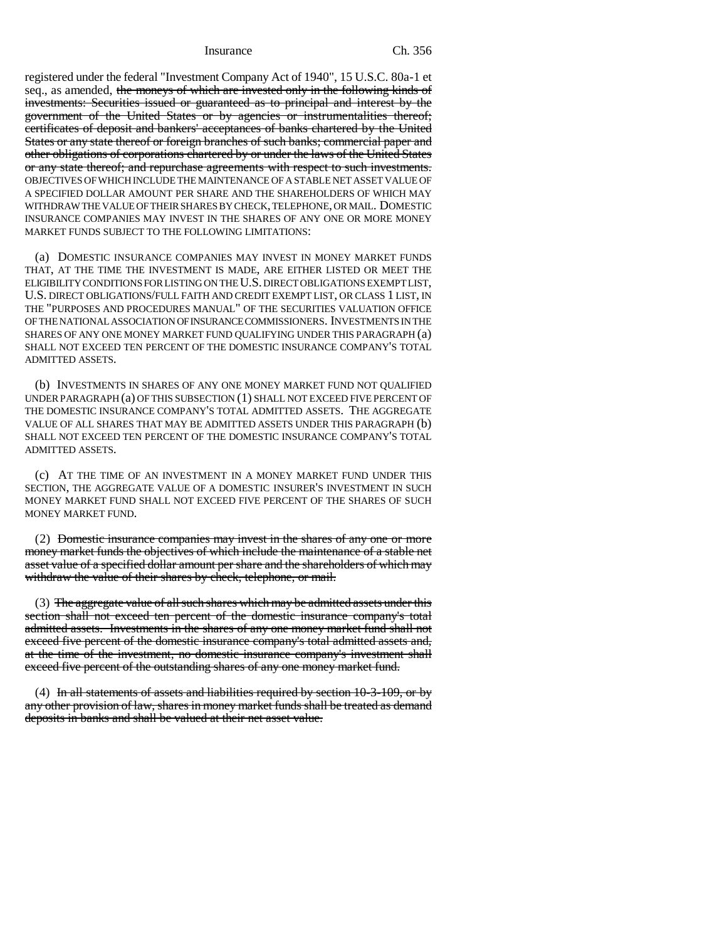Insurance Ch. 356

registered under the federal "Investment Company Act of 1940", 15 U.S.C. 80a-1 et seq., as amended, the moneys of which are invested only in the following kinds of investments: Securities issued or guaranteed as to principal and interest by the government of the United States or by agencies or instrumentalities thereof; certificates of deposit and bankers' acceptances of banks chartered by the United States or any state thereof or foreign branches of such banks; commercial paper and other obligations of corporations chartered by or under the laws of the United States or any state thereof; and repurchase agreements with respect to such investments. OBJECTIVES OF WHICH INCLUDE THE MAINTENANCE OF A STABLE NET ASSET VALUE OF A SPECIFIED DOLLAR AMOUNT PER SHARE AND THE SHAREHOLDERS OF WHICH MAY WITHDRAW THE VALUE OF THEIR SHARES BY CHECK, TELEPHONE, OR MAIL. DOMESTIC INSURANCE COMPANIES MAY INVEST IN THE SHARES OF ANY ONE OR MORE MONEY MARKET FUNDS SUBJECT TO THE FOLLOWING LIMITATIONS:

(a) DOMESTIC INSURANCE COMPANIES MAY INVEST IN MONEY MARKET FUNDS THAT, AT THE TIME THE INVESTMENT IS MADE, ARE EITHER LISTED OR MEET THE ELIGIBILITY CONDITIONS FOR LISTING ON THE U.S. DIRECT OBLIGATIONS EXEMPT LIST, U.S. DIRECT OBLIGATIONS/FULL FAITH AND CREDIT EXEMPT LIST, OR CLASS 1 LIST, IN THE "PURPOSES AND PROCEDURES MANUAL" OF THE SECURITIES VALUATION OFFICE OF THE NATIONAL ASSOCIATION OF INSURANCE COMMISSIONERS. INVESTMENTS IN THE SHARES OF ANY ONE MONEY MARKET FUND QUALIFYING UNDER THIS PARAGRAPH (a) SHALL NOT EXCEED TEN PERCENT OF THE DOMESTIC INSURANCE COMPANY'S TOTAL ADMITTED ASSETS.

(b) INVESTMENTS IN SHARES OF ANY ONE MONEY MARKET FUND NOT QUALIFIED UNDER PARAGRAPH (a) OF THIS SUBSECTION (1) SHALL NOT EXCEED FIVE PERCENT OF THE DOMESTIC INSURANCE COMPANY'S TOTAL ADMITTED ASSETS. THE AGGREGATE VALUE OF ALL SHARES THAT MAY BE ADMITTED ASSETS UNDER THIS PARAGRAPH (b) SHALL NOT EXCEED TEN PERCENT OF THE DOMESTIC INSURANCE COMPANY'S TOTAL ADMITTED ASSETS.

(c) AT THE TIME OF AN INVESTMENT IN A MONEY MARKET FUND UNDER THIS SECTION, THE AGGREGATE VALUE OF A DOMESTIC INSURER'S INVESTMENT IN SUCH MONEY MARKET FUND SHALL NOT EXCEED FIVE PERCENT OF THE SHARES OF SUCH MONEY MARKET FUND.

(2) Domestic insurance companies may invest in the shares of any one or more money market funds the objectives of which include the maintenance of a stable net asset value of a specified dollar amount per share and the shareholders of which may withdraw the value of their shares by check, telephone, or mail.

(3) The aggregate value of all such shares which may be admitted assets under this section shall not exceed ten percent of the domestic insurance company's total admitted assets. Investments in the shares of any one money market fund shall not exceed five percent of the domestic insurance company's total admitted assets and, at the time of the investment, no domestic insurance company's investment shall exceed five percent of the outstanding shares of any one money market fund.

(4) In all statements of assets and liabilities required by section 10-3-109, or by any other provision of law, shares in money market funds shall be treated as demand deposits in banks and shall be valued at their net asset value.